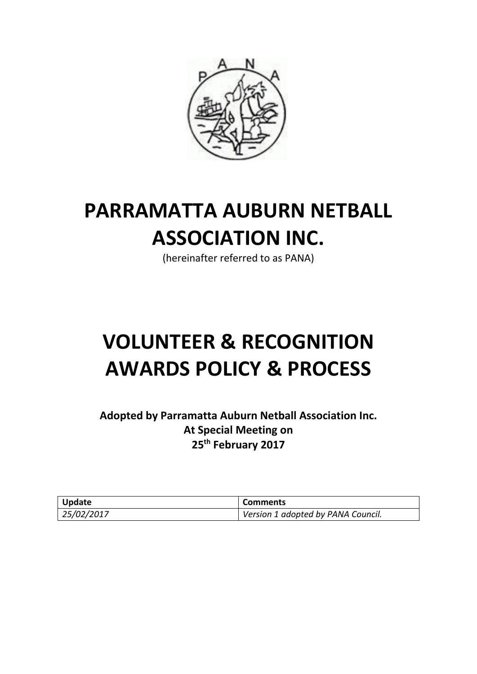

# **PARRAMATTA AUBURN NETBALL ASSOCIATION INC.**

(hereinafter referred to as PANA)

# **VOLUNTEER & RECOGNITION AWARDS POLICY & PROCESS**

**Adopted by Parramatta Auburn Netball Association Inc. At Special Meeting on 25th February 2017**

| <b>Update</b> | <b>Comments</b>                    |
|---------------|------------------------------------|
| 125/02/2017   | Version 1 adopted by PANA Council. |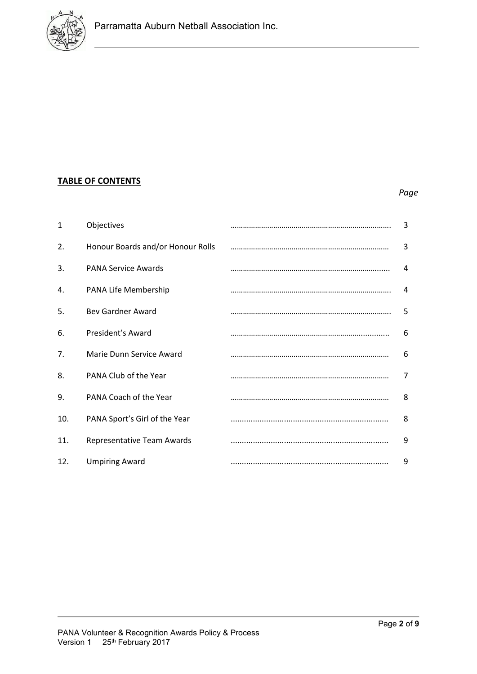

## **TABLE OF CONTENTS**

## *Page*

| 1   | Objectives                        | 3 |
|-----|-----------------------------------|---|
| 2.  | Honour Boards and/or Honour Rolls | 3 |
| 3.  | <b>PANA Service Awards</b>        | 4 |
| 4.  | PANA Life Membership              | 4 |
| 5.  | <b>Bev Gardner Award</b>          | 5 |
| 6.  | President's Award                 | 6 |
| 7.  | Marie Dunn Service Award          | 6 |
| 8.  | PANA Club of the Year             | 7 |
| 9.  | PANA Coach of the Year            | 8 |
| 10. | PANA Sport's Girl of the Year     | 8 |
| 11. | Representative Team Awards        | 9 |
| 12. | <b>Umpiring Award</b>             | 9 |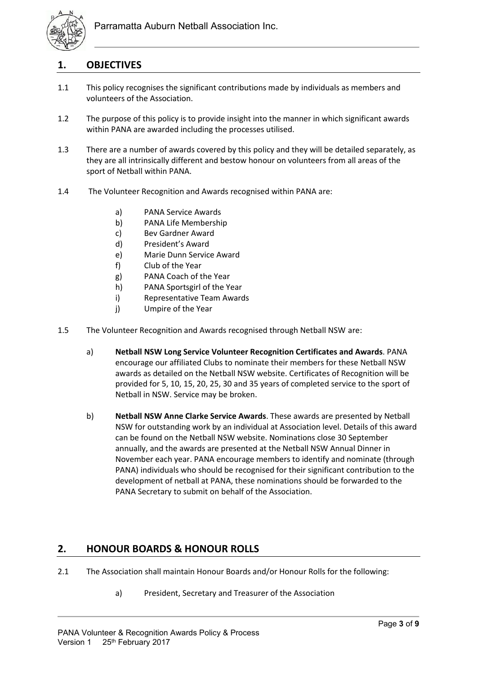

# **1. OBJECTIVES**

- 1.1 This policy recognises the significant contributions made by individuals as members and volunteers of the Association.
- 1.2 The purpose of this policy is to provide insight into the manner in which significant awards within PANA are awarded including the processes utilised.
- 1.3 There are a number of awards covered by this policy and they will be detailed separately, as they are all intrinsically different and bestow honour on volunteers from all areas of the sport of Netball within PANA.
- 1.4 The Volunteer Recognition and Awards recognised within PANA are:
	- a) PANA Service Awards
	- b) PANA Life Membership
	- c) Bev Gardner Award
	- d) President's Award
	- e) Marie Dunn Service Award
	- f) Club of the Year
	- g) PANA Coach of the Year
	- h) PANA Sportsgirl of the Year
	- i) Representative Team Awards
	- j) Umpire of the Year
- 1.5 The Volunteer Recognition and Awards recognised through Netball NSW are:
	- a) **Netball NSW Long Service Volunteer Recognition Certificates and Awards**. PANA encourage our affiliated Clubs to nominate their members for these Netball NSW awards as detailed on the Netball NSW website. Certificates of Recognition will be provided for 5, 10, 15, 20, 25, 30 and 35 years of completed service to the sport of Netball in NSW. Service may be broken.
	- b) **Netball NSW Anne Clarke Service Awards**. These awards are presented by Netball NSW for outstanding work by an individual at Association level. Details of this award can be found on the Netball NSW website. Nominations close 30 September annually, and the awards are presented at the Netball NSW Annual Dinner in November each year. PANA encourage members to identify and nominate (through PANA) individuals who should be recognised for their significant contribution to the development of netball at PANA, these nominations should be forwarded to the PANA Secretary to submit on behalf of the Association.

## **2. HONOUR BOARDS & HONOUR ROLLS**

- 2.1 The Association shall maintain Honour Boards and/or Honour Rolls for the following:
	- a) President, Secretary and Treasurer of the Association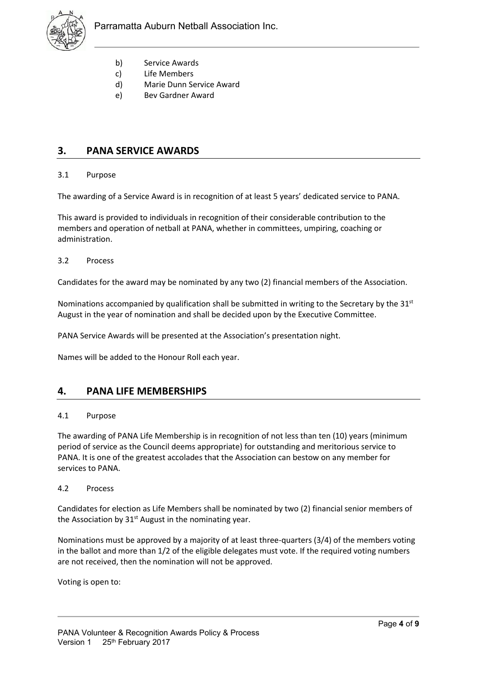

- b) Service Awards
- c) Life Members
- d) Marie Dunn Service Award
- e) Bev Gardner Award

## **3. PANA SERVICE AWARDS**

#### 3.1 Purpose

The awarding of a Service Award is in recognition of at least 5 years' dedicated service to PANA.

This award is provided to individuals in recognition of their considerable contribution to the members and operation of netball at PANA, whether in committees, umpiring, coaching or administration.

#### 3.2 Process

Candidates for the award may be nominated by any two (2) financial members of the Association.

Nominations accompanied by qualification shall be submitted in writing to the Secretary by the  $31<sup>st</sup>$ August in the year of nomination and shall be decided upon by the Executive Committee.

PANA Service Awards will be presented at the Association's presentation night.

Names will be added to the Honour Roll each year.

### **4. PANA LIFE MEMBERSHIPS**

#### 4.1 Purpose

The awarding of PANA Life Membership is in recognition of not less than ten (10) years (minimum period of service as the Council deems appropriate) for outstanding and meritorious service to PANA. It is one of the greatest accolades that the Association can bestow on any member for services to PANA.

#### 4.2 Process

Candidates for election as Life Members shall be nominated by two (2) financial senior members of the Association by  $31<sup>st</sup>$  August in the nominating year.

Nominations must be approved by a majority of at least three-quarters (3/4) of the members voting in the ballot and more than 1/2 of the eligible delegates must vote. If the required voting numbers are not received, then the nomination will not be approved.

Voting is open to: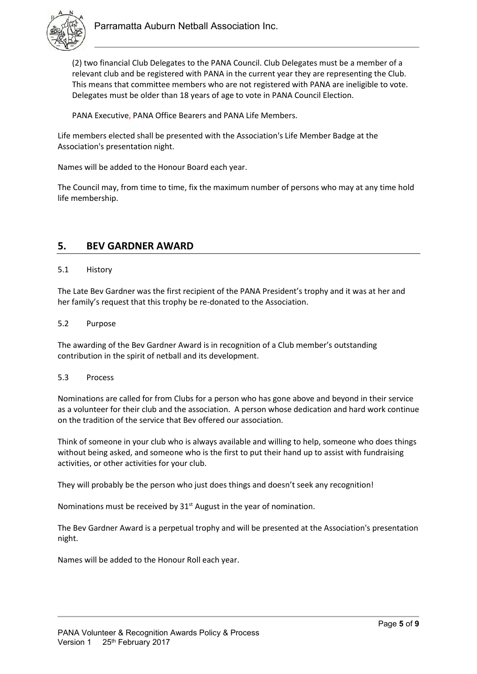

(2) two financial Club Delegates to the PANA Council. Club Delegates must be a member of a relevant club and be registered with PANA in the current year they are representing the Club. This means that committee members who are not registered with PANA are ineligible to vote. Delegates must be older than 18 years of age to vote in PANA Council Election.

PANA Executive, PANA Office Bearers and PANA Life Members.

Life members elected shall be presented with the Association's Life Member Badge at the Association's presentation night.

Names will be added to the Honour Board each year.

The Council may, from time to time, fix the maximum number of persons who may at any time hold life membership.

## **5. BEV GARDNER AWARD**

#### 5.1 History

The Late Bev Gardner was the first recipient of the PANA President's trophy and it was at her and her family's request that this trophy be re-donated to the Association.

#### 5.2 Purpose

The awarding of the Bev Gardner Award is in recognition of a Club member's outstanding contribution in the spirit of netball and its development.

#### 5.3 Process

Nominations are called for from Clubs for a person who has gone above and beyond in their service as a volunteer for their club and the association. A person whose dedication and hard work continue on the tradition of the service that Bev offered our association.

Think of someone in your club who is always available and willing to help, someone who does things without being asked, and someone who is the first to put their hand up to assist with fundraising activities, or other activities for your club.

They will probably be the person who just does things and doesn't seek any recognition!

Nominations must be received by  $31<sup>st</sup>$  August in the year of nomination.

The Bev Gardner Award is a perpetual trophy and will be presented at the Association's presentation night.

Names will be added to the Honour Roll each year.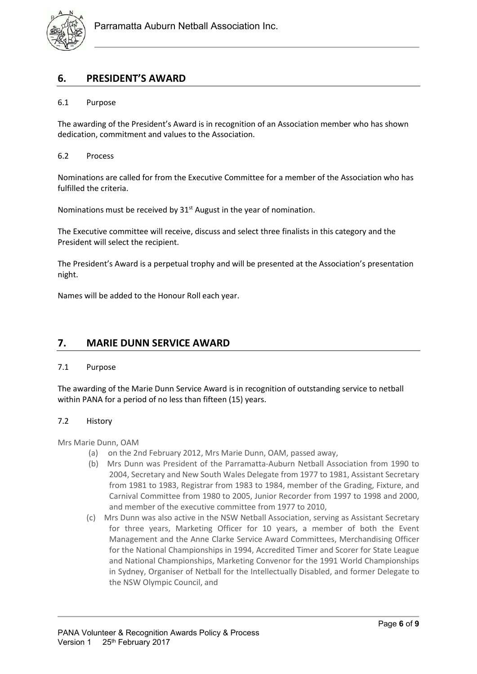

# **6. PRESIDENT'S AWARD**

### 6.1 Purpose

The awarding of the President's Award is in recognition of an Association member who has shown dedication, commitment and values to the Association.

#### 6.2 Process

Nominations are called for from the Executive Committee for a member of the Association who has fulfilled the criteria.

Nominations must be received by  $31<sup>st</sup>$  August in the year of nomination.

The Executive committee will receive, discuss and select three finalists in this category and the President will select the recipient.

The President's Award is a perpetual trophy and will be presented at the Association's presentation night.

Names will be added to the Honour Roll each year.

## **7. MARIE DUNN SERVICE AWARD**

#### 7.1 Purpose

The awarding of the Marie Dunn Service Award is in recognition of outstanding service to netball within PANA for a period of no less than fifteen (15) years.

#### 7.2 History

Mrs Marie Dunn, OAM

- (a) on the 2nd February 2012, Mrs Marie Dunn, OAM, passed away,
- (b) Mrs Dunn was President of the Parramatta-Auburn Netball Association from 1990 to 2004, Secretary and New South Wales Delegate from 1977 to 1981, Assistant Secretary from 1981 to 1983, Registrar from 1983 to 1984, member of the Grading, Fixture, and Carnival Committee from 1980 to 2005, Junior Recorder from 1997 to 1998 and 2000, and member of the executive committee from 1977 to 2010,
- (c) Mrs Dunn was also active in the NSW Netball Association, serving as Assistant Secretary for three years, Marketing Officer for 10 years, a member of both the Event Management and the Anne Clarke Service Award Committees, Merchandising Officer for the National Championships in 1994, Accredited Timer and Scorer for State League and National Championships, Marketing Convenor for the 1991 World Championships in Sydney, Organiser of Netball for the Intellectually Disabled, and former Delegate to the NSW Olympic Council, and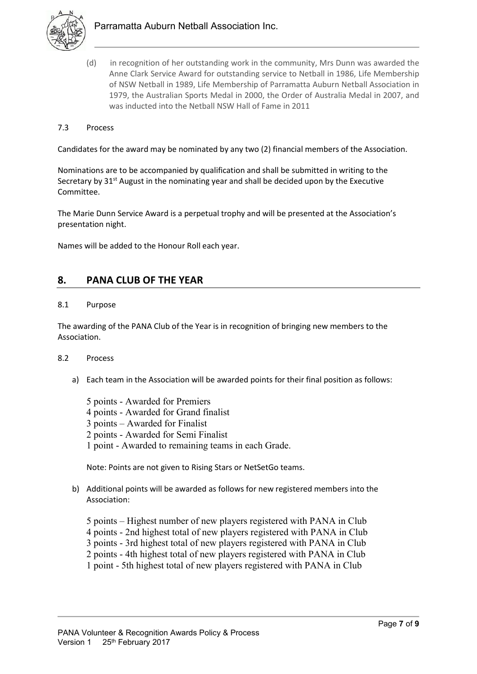

- (d) in recognition of her outstanding work in the community, Mrs Dunn was awarded the Anne Clark Service Award for outstanding service to Netball in 1986, Life Membership of NSW Netball in 1989, Life Membership of Parramatta Auburn Netball Association in 1979, the Australian Sports Medal in 2000, the Order of Australia Medal in 2007, and was inducted into the Netball NSW Hall of Fame in 2011
- 7.3 Process

Candidates for the award may be nominated by any two (2) financial members of the Association.

Nominations are to be accompanied by qualification and shall be submitted in writing to the Secretary by  $31<sup>st</sup>$  August in the nominating year and shall be decided upon by the Executive Committee.

The Marie Dunn Service Award is a perpetual trophy and will be presented at the Association's presentation night.

Names will be added to the Honour Roll each year.

## **8. PANA CLUB OF THE YEAR**

#### 8.1 Purpose

The awarding of the PANA Club of the Year is in recognition of bringing new members to the Association.

#### 8.2 Process

- a) Each team in the Association will be awarded points for their final position as follows:
	- 5 points Awarded for Premiers 4 points - Awarded for Grand finalist 3 points – Awarded for Finalist 2 points - Awarded for Semi Finalist 1 point - Awarded to remaining teams in each Grade.

Note: Points are not given to Rising Stars or NetSetGo teams.

- b) Additional points will be awarded as follows for new registered members into the Association:
	- 5 points Highest number of new players registered with PANA in Club
	- 4 points 2nd highest total of new players registered with PANA in Club
	- 3 points 3rd highest total of new players registered with PANA in Club
	- 2 points 4th highest total of new players registered with PANA in Club
	- 1 point 5th highest total of new players registered with PANA in Club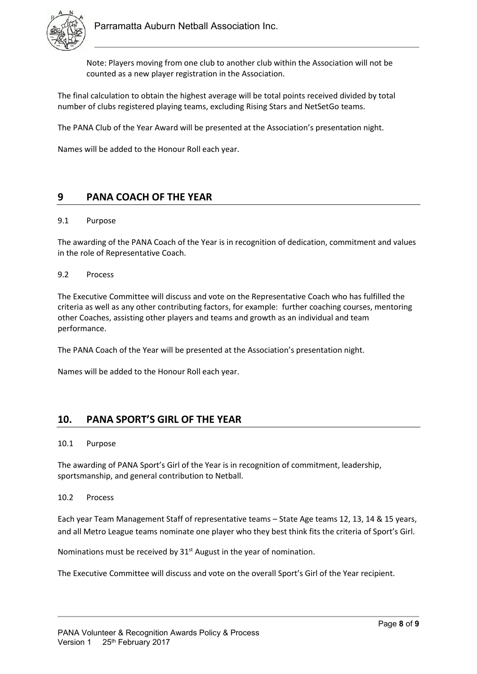

Note: Players moving from one club to another club within the Association will not be counted as a new player registration in the Association.

The final calculation to obtain the highest average will be total points received divided by total number of clubs registered playing teams, excluding Rising Stars and NetSetGo teams.

The PANA Club of the Year Award will be presented at the Association's presentation night.

Names will be added to the Honour Roll each year.

## **9 PANA COACH OF THE YEAR**

#### 9.1 Purpose

The awarding of the PANA Coach of the Year is in recognition of dedication, commitment and values in the role of Representative Coach.

#### 9.2 Process

The Executive Committee will discuss and vote on the Representative Coach who has fulfilled the criteria as well as any other contributing factors, for example: further coaching courses, mentoring other Coaches, assisting other players and teams and growth as an individual and team performance.

The PANA Coach of the Year will be presented at the Association's presentation night.

Names will be added to the Honour Roll each year.

## **10. PANA SPORT'S GIRL OF THE YEAR**

#### 10.1 Purpose

The awarding of PANA Sport's Girl of the Year is in recognition of commitment, leadership, sportsmanship, and general contribution to Netball.

#### 10.2 Process

Each year Team Management Staff of representative teams – State Age teams 12, 13, 14 & 15 years, and all Metro League teams nominate one player who they best think fits the criteria of Sport's Girl.

Nominations must be received by 31<sup>st</sup> August in the year of nomination.

The Executive Committee will discuss and vote on the overall Sport's Girl of the Year recipient.